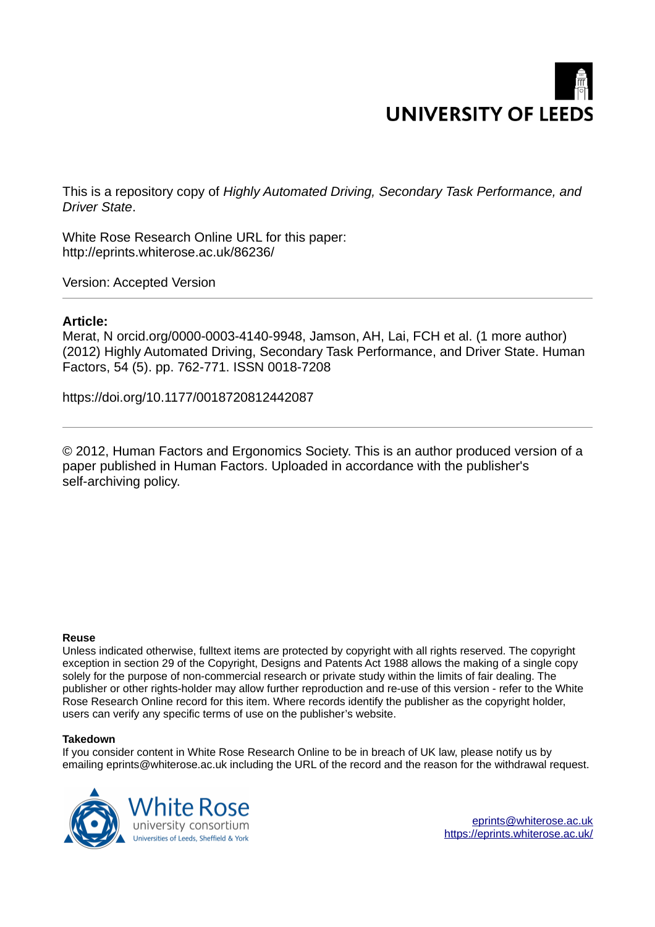

This is a repository copy of *Highly Automated Driving, Secondary Task Performance, and Driver State*.

White Rose Research Online URL for this paper: http://eprints.whiterose.ac.uk/86236/

Version: Accepted Version

## **Article:**

Merat, N orcid.org/0000-0003-4140-9948, Jamson, AH, Lai, FCH et al. (1 more author) (2012) Highly Automated Driving, Secondary Task Performance, and Driver State. Human Factors, 54 (5). pp. 762-771. ISSN 0018-7208

https://doi.org/10.1177/0018720812442087

© 2012, Human Factors and Ergonomics Society. This is an author produced version of a paper published in Human Factors. Uploaded in accordance with the publisher's self-archiving policy.

#### **Reuse**

Unless indicated otherwise, fulltext items are protected by copyright with all rights reserved. The copyright exception in section 29 of the Copyright, Designs and Patents Act 1988 allows the making of a single copy solely for the purpose of non-commercial research or private study within the limits of fair dealing. The publisher or other rights-holder may allow further reproduction and re-use of this version - refer to the White Rose Research Online record for this item. Where records identify the publisher as the copyright holder, users can verify any specific terms of use on the publisher's website.

#### **Takedown**

If you consider content in White Rose Research Online to be in breach of UK law, please notify us by emailing eprints@whiterose.ac.uk including the URL of the record and the reason for the withdrawal request.

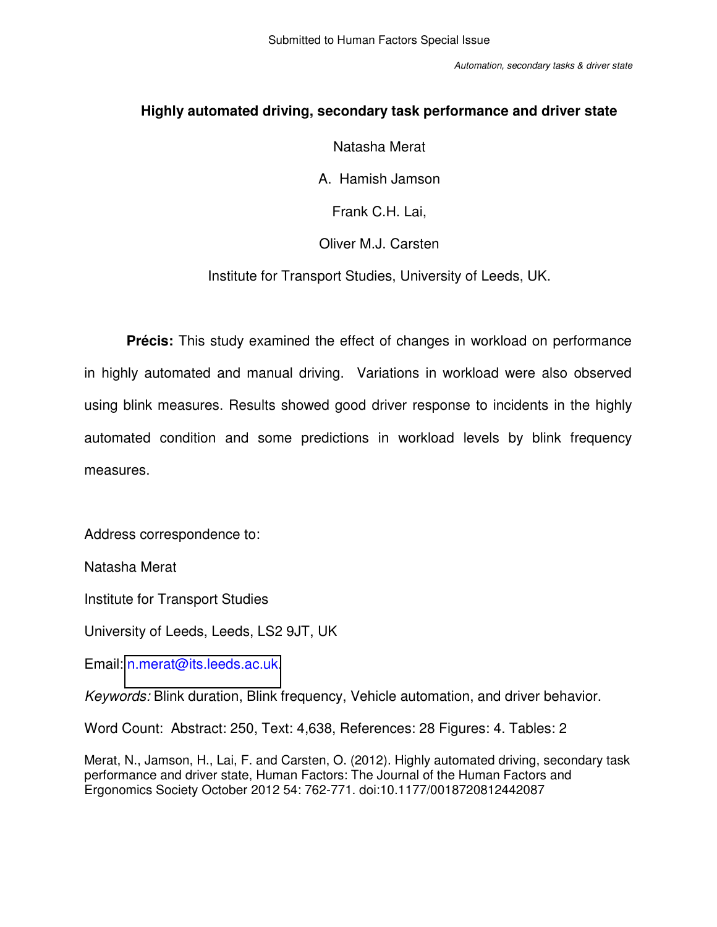# **Highly automated driving, secondary task performance and driver state**

# Natasha Merat

A. Hamish Jamson

Frank C.H. Lai,

# Oliver M.J. Carsten

Institute for Transport Studies, University of Leeds, UK.

**Précis:** This study examined the effect of changes in workload on performance in highly automated and manual driving. Variations in workload were also observed using blink measures. Results showed good driver response to incidents in the highly automated condition and some predictions in workload levels by blink frequency measures.

Address correspondence to:

Natasha Merat

Institute for Transport Studies

University of Leeds, Leeds, LS2 9JT, UK

Email: [n.merat@its.leeds.ac.uk.](mailto:n.merat@its.leeds.ac.uk)

*Keywords:* Blink duration, Blink frequency, Vehicle automation, and driver behavior.

Word Count: Abstract: 250, Text: 4,638, References: 28 Figures: 4. Tables: 2

Merat, N., Jamson, H., Lai, F. and Carsten, O. (2012). Highly automated driving, secondary task performance and driver state, Human Factors: The Journal of the Human Factors and Ergonomics Society October 2012 54: 762-771. doi:10.1177/0018720812442087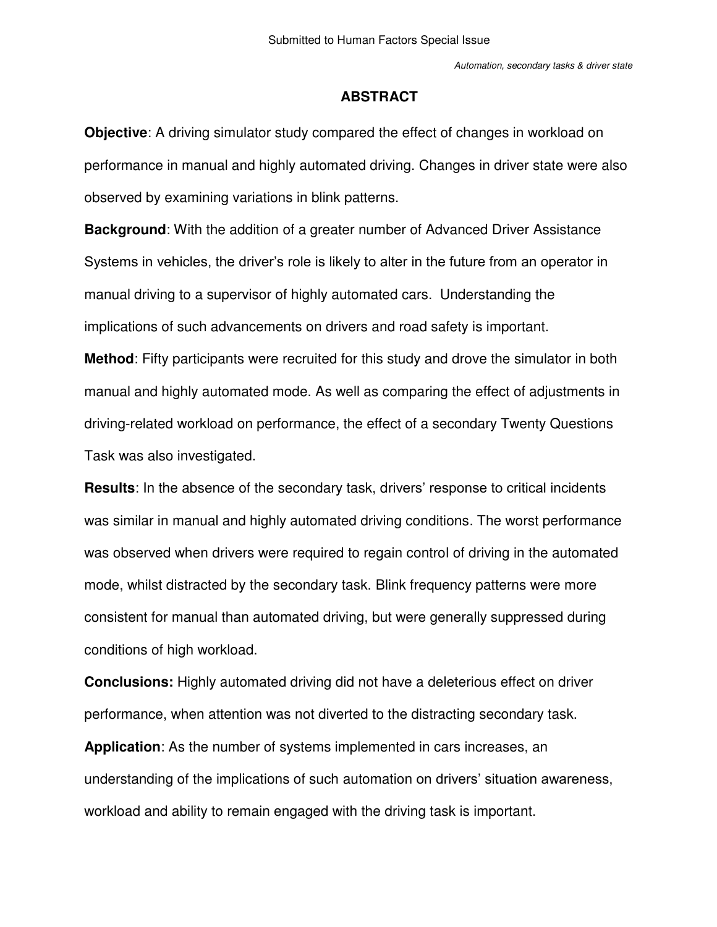## **ABSTRACT**

**Objective**: A driving simulator study compared the effect of changes in workload on performance in manual and highly automated driving. Changes in driver state were also observed by examining variations in blink patterns.

**Background**: With the addition of a greater number of Advanced Driver Assistance Systems in vehicles, the driver's role is likely to alter in the future from an operator in manual driving to a supervisor of highly automated cars. Understanding the implications of such advancements on drivers and road safety is important.

**Method**: Fifty participants were recruited for this study and drove the simulator in both manual and highly automated mode. As well as comparing the effect of adjustments in driving-related workload on performance, the effect of a secondary Twenty Questions Task was also investigated.

**Results**: In the absence of the secondary task, drivers' response to critical incidents was similar in manual and highly automated driving conditions. The worst performance was observed when drivers were required to regain control of driving in the automated mode, whilst distracted by the secondary task. Blink frequency patterns were more consistent for manual than automated driving, but were generally suppressed during conditions of high workload.

**Conclusions:** Highly automated driving did not have a deleterious effect on driver performance, when attention was not diverted to the distracting secondary task.

**Application**: As the number of systems implemented in cars increases, an understanding of the implications of such automation on drivers' situation awareness, workload and ability to remain engaged with the driving task is important.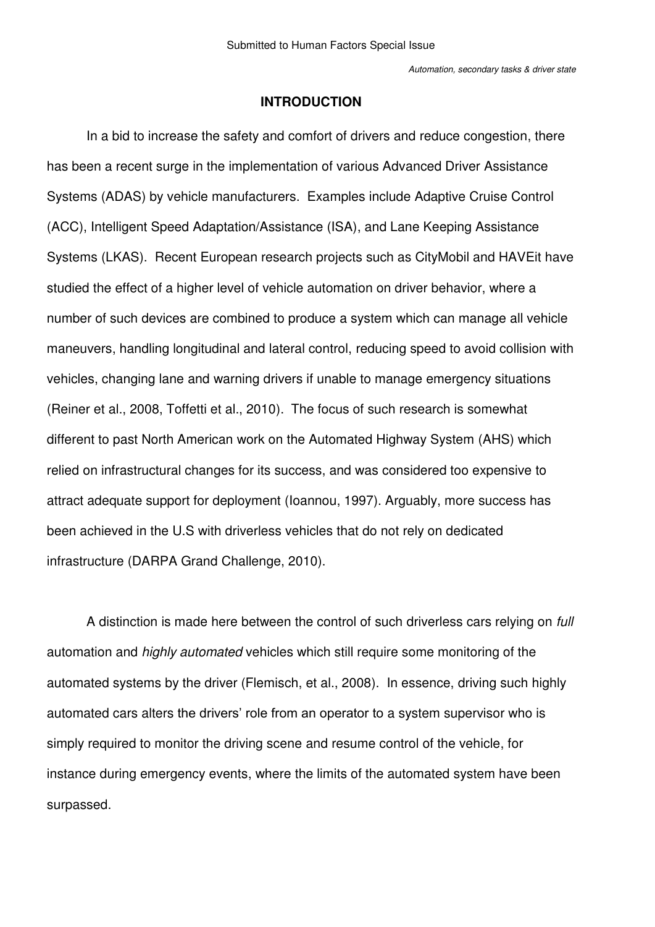## **INTRODUCTION**

In a bid to increase the safety and comfort of drivers and reduce congestion, there has been a recent surge in the implementation of various Advanced Driver Assistance Systems (ADAS) by vehicle manufacturers. Examples include Adaptive Cruise Control (ACC), Intelligent Speed Adaptation/Assistance (ISA), and Lane Keeping Assistance Systems (LKAS). Recent European research projects such as CityMobil and HAVEit have studied the effect of a higher level of vehicle automation on driver behavior, where a number of such devices are combined to produce a system which can manage all vehicle maneuvers, handling longitudinal and lateral control, reducing speed to avoid collision with vehicles, changing lane and warning drivers if unable to manage emergency situations (Reiner et al., 2008, Toffetti et al., 2010). The focus of such research is somewhat different to past North American work on the Automated Highway System (AHS) which relied on infrastructural changes for its success, and was considered too expensive to attract adequate support for deployment (Ioannou, 1997). Arguably, more success has been achieved in the U.S with driverless vehicles that do not rely on dedicated infrastructure (DARPA Grand Challenge, 2010).

A distinction is made here between the control of such driverless cars relying on *full*  automation and *highly automated* vehicles which still require some monitoring of the automated systems by the driver (Flemisch, et al., 2008). In essence, driving such highly automated cars alters the drivers' role from an operator to a system supervisor who is simply required to monitor the driving scene and resume control of the vehicle, for instance during emergency events, where the limits of the automated system have been surpassed.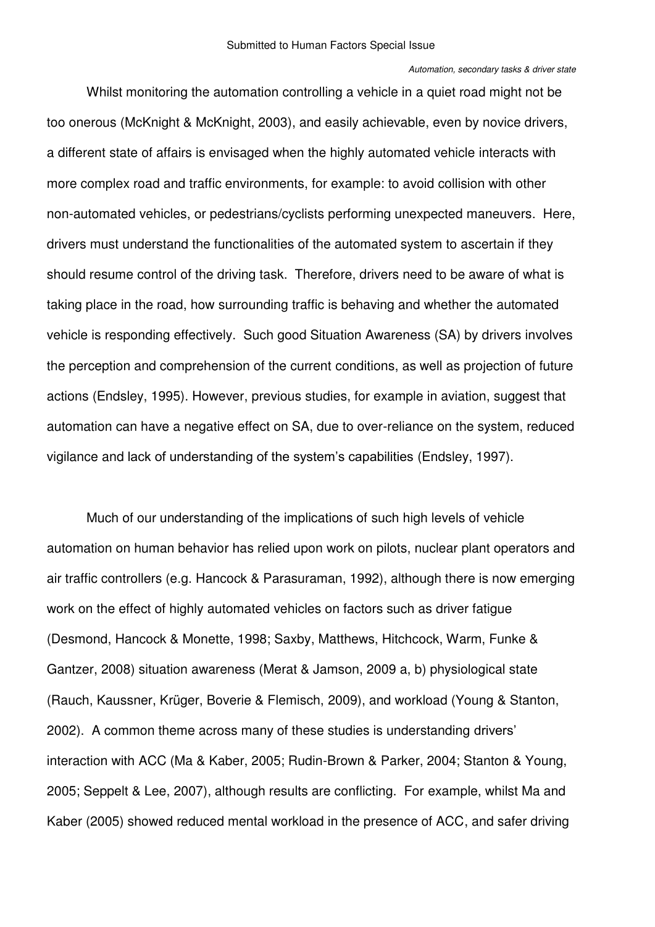#### *Automation, secondary tasks & driver state*

Whilst monitoring the automation controlling a vehicle in a quiet road might not be too onerous (McKnight & McKnight, 2003), and easily achievable, even by novice drivers, a different state of affairs is envisaged when the highly automated vehicle interacts with more complex road and traffic environments, for example: to avoid collision with other non-automated vehicles, or pedestrians/cyclists performing unexpected maneuvers. Here, drivers must understand the functionalities of the automated system to ascertain if they should resume control of the driving task. Therefore, drivers need to be aware of what is taking place in the road, how surrounding traffic is behaving and whether the automated vehicle is responding effectively. Such good Situation Awareness (SA) by drivers involves the perception and comprehension of the current conditions, as well as projection of future actions (Endsley, 1995). However, previous studies, for example in aviation, suggest that automation can have a negative effect on SA, due to over-reliance on the system, reduced vigilance and lack of understanding of the system's capabilities (Endsley, 1997).

Much of our understanding of the implications of such high levels of vehicle automation on human behavior has relied upon work on pilots, nuclear plant operators and air traffic controllers (e.g. Hancock & Parasuraman, 1992), although there is now emerging work on the effect of highly automated vehicles on factors such as driver fatigue (Desmond, Hancock & Monette, 1998; Saxby, Matthews, Hitchcock, Warm, Funke & Gantzer, 2008) situation awareness (Merat & Jamson, 2009 a, b) physiological state (Rauch, Kaussner, Krüger, Boverie & Flemisch, 2009), and workload (Young & Stanton, 2002). A common theme across many of these studies is understanding drivers' interaction with ACC (Ma & Kaber, 2005; Rudin-Brown & Parker, 2004; Stanton & Young, 2005; Seppelt & Lee, 2007), although results are conflicting. For example, whilst Ma and Kaber (2005) showed reduced mental workload in the presence of ACC, and safer driving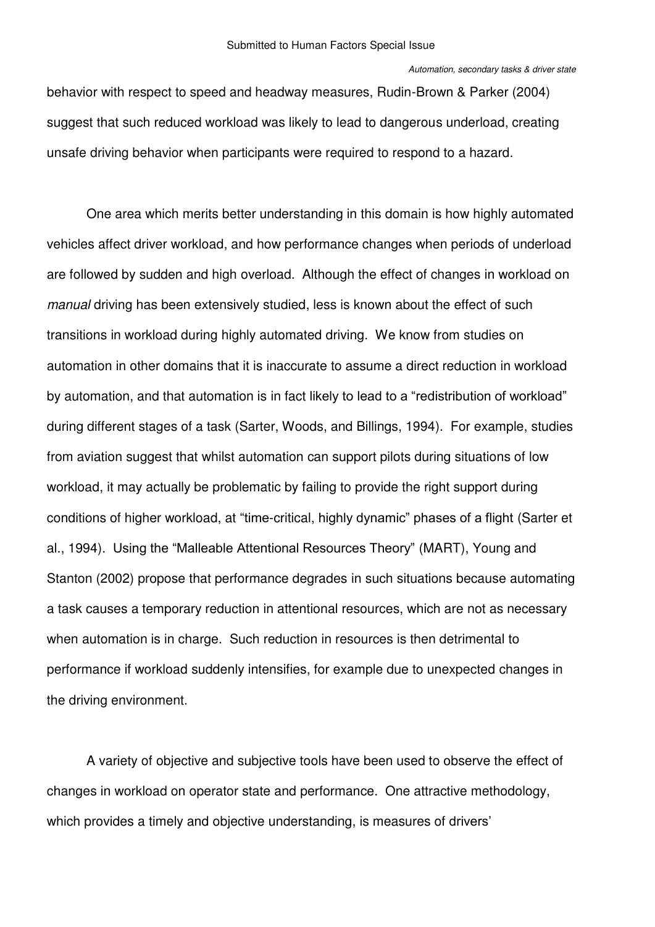behavior with respect to speed and headway measures, Rudin-Brown & Parker (2004) suggest that such reduced workload was likely to lead to dangerous underload, creating unsafe driving behavior when participants were required to respond to a hazard.

One area which merits better understanding in this domain is how highly automated vehicles affect driver workload, and how performance changes when periods of underload are followed by sudden and high overload. Although the effect of changes in workload on *manual* driving has been extensively studied, less is known about the effect of such transitions in workload during highly automated driving. We know from studies on automation in other domains that it is inaccurate to assume a direct reduction in workload by automation, and that automation is in fact likely to lead to a "redistribution of workload" during different stages of a task (Sarter, Woods, and Billings, 1994). For example, studies from aviation suggest that whilst automation can support pilots during situations of low workload, it may actually be problematic by failing to provide the right support during conditions of higher workload, at "time-critical, highly dynamic" phases of a flight (Sarter et al., 1994). Using the "Malleable Attentional Resources Theory" (MART), Young and Stanton (2002) propose that performance degrades in such situations because automating a task causes a temporary reduction in attentional resources, which are not as necessary when automation is in charge. Such reduction in resources is then detrimental to performance if workload suddenly intensifies, for example due to unexpected changes in the driving environment.

A variety of objective and subjective tools have been used to observe the effect of changes in workload on operator state and performance. One attractive methodology, which provides a timely and objective understanding, is measures of drivers'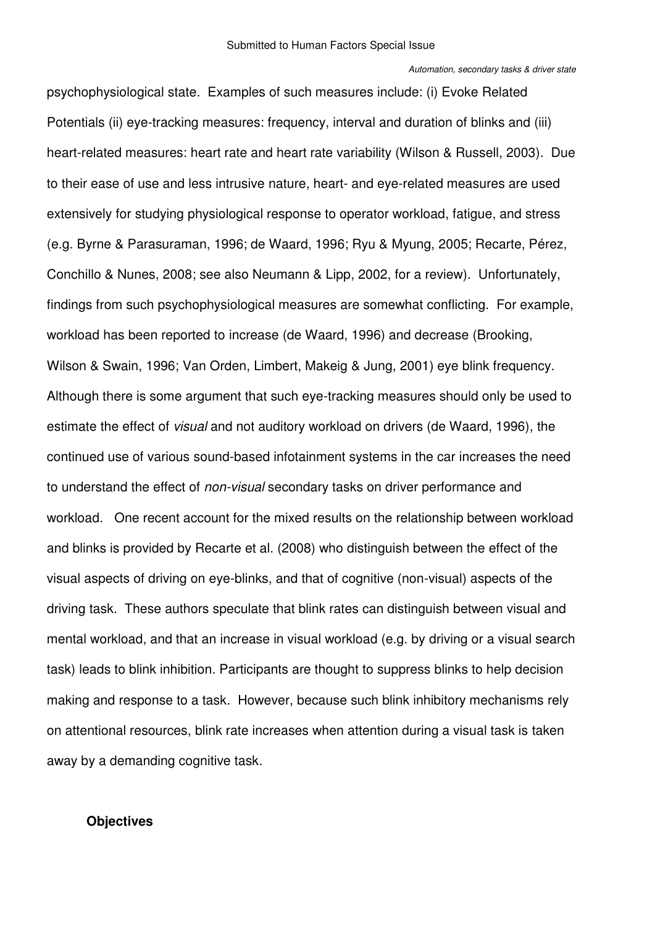psychophysiological state. Examples of such measures include: (i) Evoke Related Potentials (ii) eye-tracking measures: frequency, interval and duration of blinks and (iii) heart-related measures: heart rate and heart rate variability (Wilson & Russell, 2003). Due to their ease of use and less intrusive nature, heart- and eye-related measures are used extensively for studying physiological response to operator workload, fatigue, and stress (e.g. Byrne & Parasuraman, 1996; de Waard, 1996; Ryu & Myung, 2005; Recarte, Pérez, Conchillo & Nunes, 2008; see also Neumann & Lipp, 2002, for a review). Unfortunately, findings from such psychophysiological measures are somewhat conflicting. For example, workload has been reported to increase (de Waard, 1996) and decrease (Brooking, Wilson & Swain, 1996; Van Orden, Limbert, Makeig & Jung, 2001) eye blink frequency. Although there is some argument that such eye-tracking measures should only be used to estimate the effect of *visual* and not auditory workload on drivers (de Waard, 1996), the continued use of various sound-based infotainment systems in the car increases the need to understand the effect of *non-visual* secondary tasks on driver performance and workload. One recent account for the mixed results on the relationship between workload and blinks is provided by Recarte et al. (2008) who distinguish between the effect of the visual aspects of driving on eye-blinks, and that of cognitive (non-visual) aspects of the driving task. These authors speculate that blink rates can distinguish between visual and mental workload, and that an increase in visual workload (e.g. by driving or a visual search task) leads to blink inhibition. Participants are thought to suppress blinks to help decision making and response to a task. However, because such blink inhibitory mechanisms rely on attentional resources, blink rate increases when attention during a visual task is taken away by a demanding cognitive task.

# **Objectives**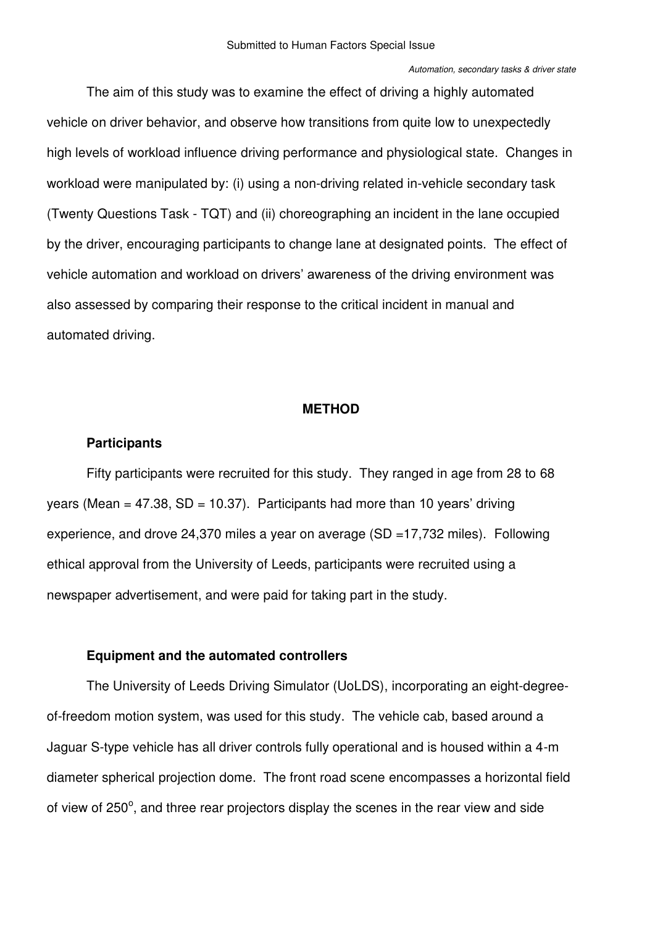<span id="page-7-0"></span>The aim of this study was to examine the effect of driving a highly automated vehicle on driver behavior, and observe how transitions from quite low to unexpectedly high levels of workload influence driving performance and physiological state. Changes in workload were manipulated by: (i) using a non-driving related in-vehicle secondary task (Twenty Questions Task - TQT) and (ii) choreographing an incident in the lane occupied by the driver, encouraging participants to change lane at designated points. The effect of vehicle automation and workload on drivers' awareness of the driving environment was also assessed by comparing their response to the critical incident in manual and automated driving.

## **METHOD**

# **Participants**

Fifty participants were recruited for this study. They ranged in age from 28 to 68 years (Mean =  $47.38$ , SD =  $10.37$ ). Participants had more than 10 years' driving experience, and drove 24,370 miles a year on average (SD =17,732 miles). Following ethical approval from the University of Leeds, participants were recruited using a newspaper advertisement, and were paid for taking part in the study.

## **Equipment and the automated controllers**

The University of Leeds Driving Simulator (UoLDS), incorporating an eight-degreeof-freedom motion system, was used for this study. The vehicle cab, based around a Jaguar S-type vehicle has all driver controls fully operational and is housed within a 4-m diameter spherical projection dome. The front road scene encompasses a horizontal field of view of 250°, and three rear projectors display the scenes in the rear view and side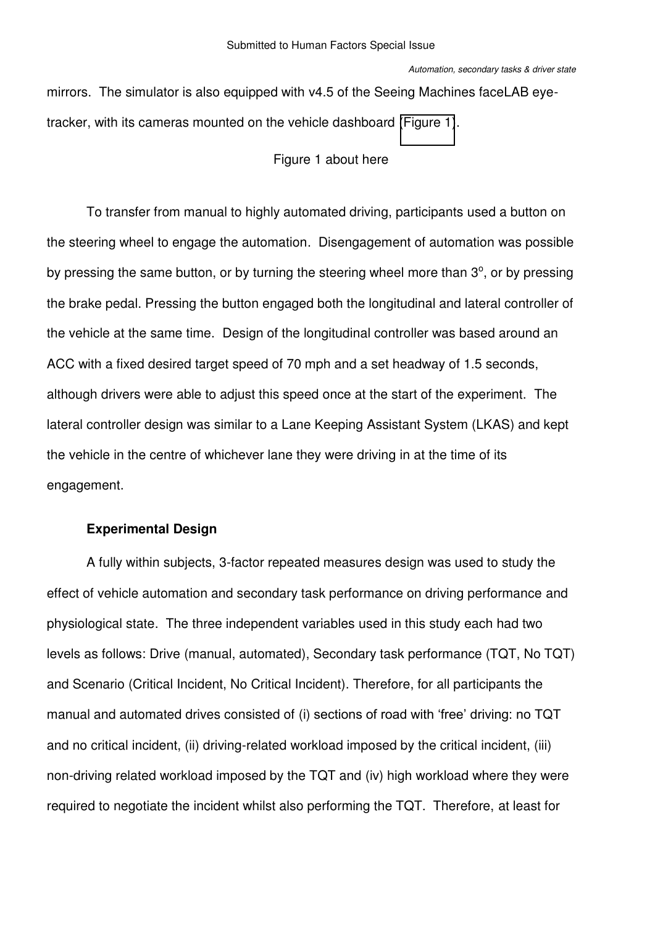mirrors. The simulator is also equipped with v4.5 of the Seeing Machines faceLAB eyetracker, with its cameras mounted on the vehicle dashboard [\(Figure 1\)](#page-7-0).

# Figure 1 about here

<span id="page-8-0"></span>To transfer from manual to highly automated driving, participants used a button on the steering wheel to engage the automation. Disengagement of automation was possible by pressing the same button, or by turning the steering wheel more than  $3^\circ$ , or by pressing the brake pedal. Pressing the button engaged both the longitudinal and lateral controller of the vehicle at the same time. Design of the longitudinal controller was based around an ACC with a fixed desired target speed of 70 mph and a set headway of 1.5 seconds, although drivers were able to adjust this speed once at the start of the experiment. The lateral controller design was similar to a Lane Keeping Assistant System (LKAS) and kept the vehicle in the centre of whichever lane they were driving in at the time of its engagement.

# **Experimental Design**

A fully within subjects, 3-factor repeated measures design was used to study the effect of vehicle automation and secondary task performance on driving performance and physiological state. The three independent variables used in this study each had two levels as follows: Drive (manual, automated), Secondary task performance (TQT, No TQT) and Scenario (Critical Incident, No Critical Incident). Therefore, for all participants the manual and automated drives consisted of (i) sections of road with 'free' driving: no TQT and no critical incident, (ii) driving-related workload imposed by the critical incident, (iii) non-driving related workload imposed by the TQT and (iv) high workload where they were required to negotiate the incident whilst also performing the TQT. Therefore, at least for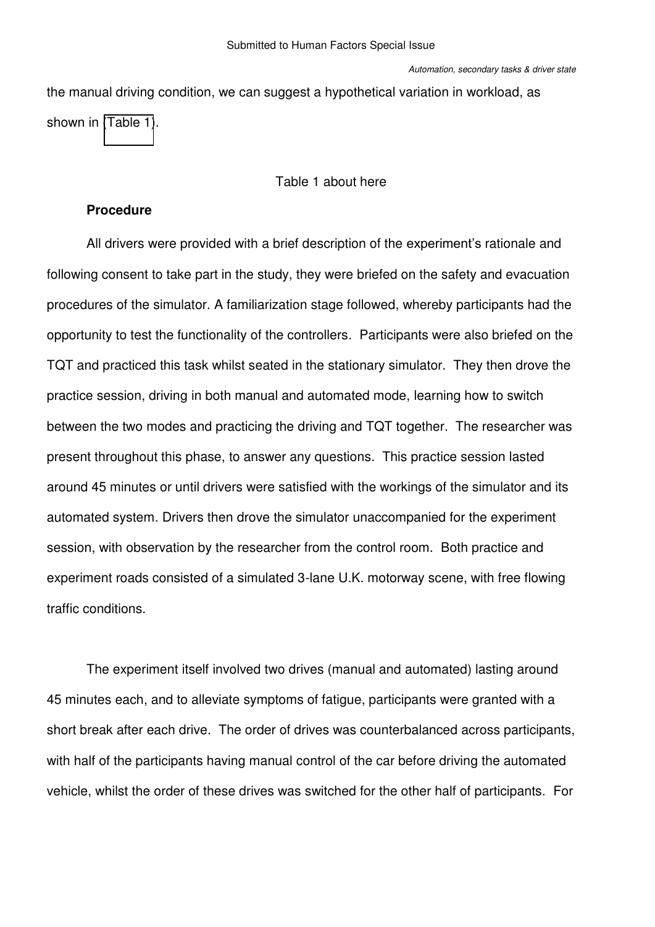the manual driving condition, we can suggest a hypothetical variation in workload, as shown in [\(Table 1\)](#page-8-0).

#### Table 1 about here

# **Procedure**

All drivers were provided with a brief description of the experiment's rationale and following consent to take part in the study, they were briefed on the safety and evacuation procedures of the simulator. A familiarization stage followed, whereby participants had the opportunity to test the functionality of the controllers. Participants were also briefed on the TQT and practiced this task whilst seated in the stationary simulator. They then drove the practice session, driving in both manual and automated mode, learning how to switch between the two modes and practicing the driving and TQT together. The researcher was present throughout this phase, to answer any questions. This practice session lasted around 45 minutes or until drivers were satisfied with the workings of the simulator and its automated system. Drivers then drove the simulator unaccompanied for the experiment session, with observation by the researcher from the control room. Both practice and experiment roads consisted of a simulated 3-lane U.K. motorway scene, with free flowing traffic conditions.

The experiment itself involved two drives (manual and automated) lasting around 45 minutes each, and to alleviate symptoms of fatigue, participants were granted with a short break after each drive. The order of drives was counterbalanced across participants, with half of the participants having manual control of the car before driving the automated vehicle, whilst the order of these drives was switched for the other half of participants. For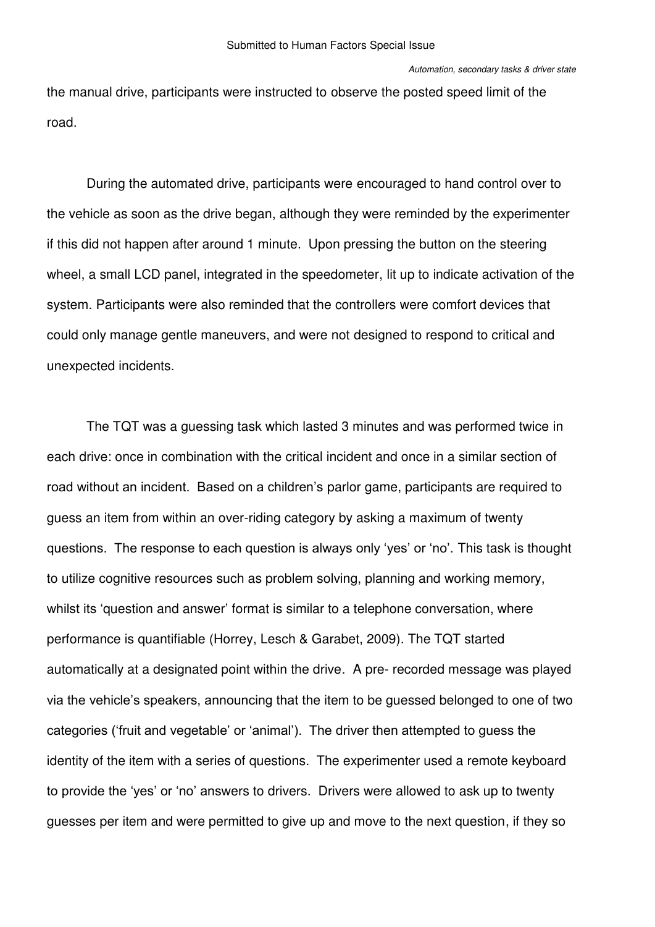the manual drive, participants were instructed to observe the posted speed limit of the road.

During the automated drive, participants were encouraged to hand control over to the vehicle as soon as the drive began, although they were reminded by the experimenter if this did not happen after around 1 minute. Upon pressing the button on the steering wheel, a small LCD panel, integrated in the speedometer, lit up to indicate activation of the system. Participants were also reminded that the controllers were comfort devices that could only manage gentle maneuvers, and were not designed to respond to critical and unexpected incidents.

<span id="page-10-0"></span>The TQT was a guessing task which lasted 3 minutes and was performed twice in each drive: once in combination with the critical incident and once in a similar section of road without an incident. Based on a children's parlor game, participants are required to guess an item from within an over-riding category by asking a maximum of twenty questions. The response to each question is always only 'yes' or 'no'. This task is thought to utilize cognitive resources such as problem solving, planning and working memory, whilst its 'question and answer' format is similar to a telephone conversation, where performance is quantifiable (Horrey, Lesch & Garabet, 2009). The TQT started automatically at a designated point within the drive. A pre- recorded message was played via the vehicle's speakers, announcing that the item to be guessed belonged to one of two categories ('fruit and vegetable' or 'animal'). The driver then attempted to guess the identity of the item with a series of questions. The experimenter used a remote keyboard to provide the 'yes' or 'no' answers to drivers. Drivers were allowed to ask up to twenty guesses per item and were permitted to give up and move to the next question, if they so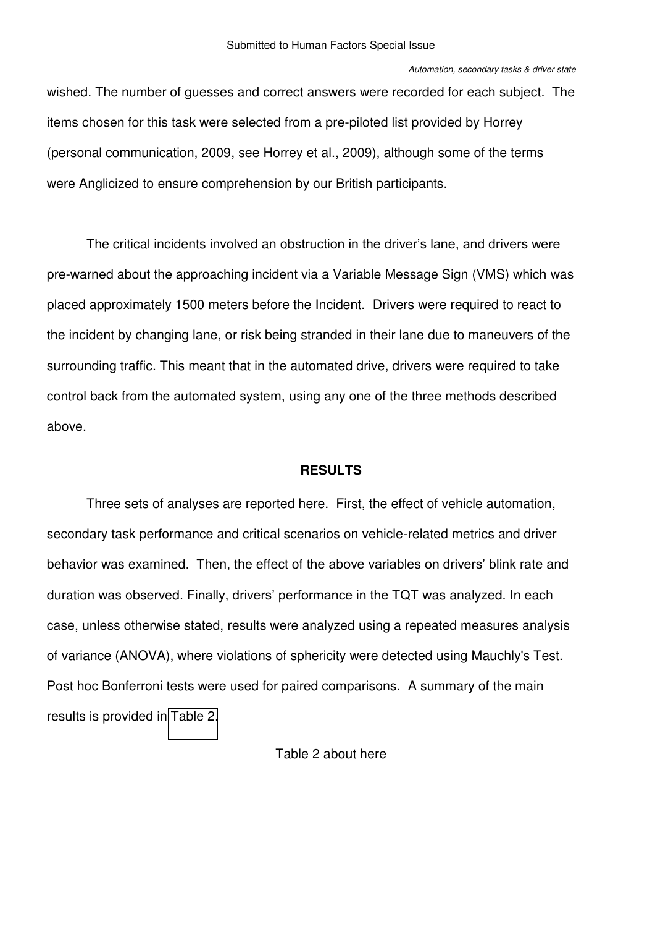wished. The number of guesses and correct answers were recorded for each subject. The items chosen for this task were selected from a pre-piloted list provided by Horrey (personal communication, 2009, see Horrey et al., 2009), although some of the terms were Anglicized to ensure comprehension by our British participants.

The critical incidents involved an obstruction in the driver's lane, and drivers were pre-warned about the approaching incident via a Variable Message Sign (VMS) which was placed approximately 1500 meters before the Incident. Drivers were required to react to the incident by changing lane, or risk being stranded in their lane due to maneuvers of the surrounding traffic. This meant that in the automated drive, drivers were required to take control back from the automated system, using any one of the three methods described above.

## **RESULTS**

<span id="page-11-0"></span>Three sets of analyses are reported here. First, the effect of vehicle automation, secondary task performance and critical scenarios on vehicle-related metrics and driver behavior was examined. Then, the effect of the above variables on drivers' blink rate and duration was observed. Finally, drivers' performance in the TQT was analyzed. In each case, unless otherwise stated, results were analyzed using a repeated measures analysis of variance (ANOVA), where violations of sphericity were detected using Mauchly's Test. Post hoc Bonferroni tests were used for paired comparisons. A summary of the main results is provided in [Table 2.](#page-10-0)

# Table 2 about here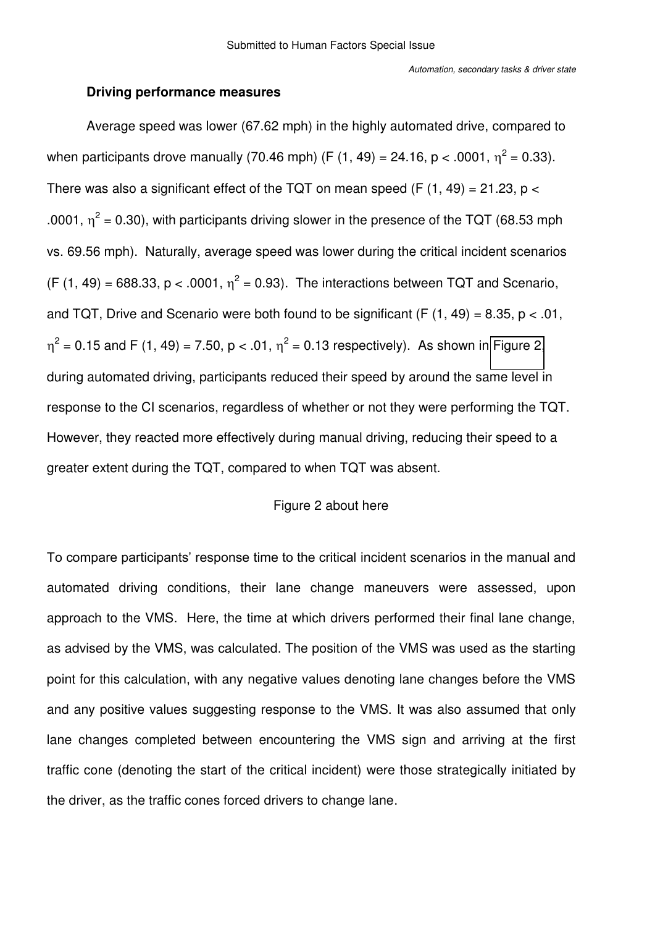## **Driving performance measures**

Average speed was lower (67.62 mph) in the highly automated drive, compared to when participants drove manually (70.46 mph) (F (1, 49) = 24.16, p < .0001,  $\eta^2$  = 0.33). There was also a significant effect of the TQT on mean speed (F  $(1, 49) = 21.23$ , p < .0001,  $\eta^2$  = 0.30), with participants driving slower in the presence of the TQT (68.53 mph vs. 69.56 mph). Naturally, average speed was lower during the critical incident scenarios  $(F (1, 49) = 688.33, p < .0001, \eta^2 = 0.93)$ . The interactions between TQT and Scenario, and TQT, Drive and Scenario were both found to be significant (F  $(1, 49) = 8.35$ , p < .01,  $\eta^2$  = 0.15 and F (1, 49) = 7.50, p < .01,  $\eta^2$  = 0.13 respectively). As shown in [Figure 2,](#page-11-0) during automated driving, participants reduced their speed by around the same level in response to the CI scenarios, regardless of whether or not they were performing the TQT. However, they reacted more effectively during manual driving, reducing their speed to a greater extent during the TQT, compared to when TQT was absent.

# Figure 2 about here

To compare participants' response time to the critical incident scenarios in the manual and automated driving conditions, their lane change maneuvers were assessed, upon approach to the VMS. Here, the time at which drivers performed their final lane change, as advised by the VMS, was calculated. The position of the VMS was used as the starting point for this calculation, with any negative values denoting lane changes before the VMS and any positive values suggesting response to the VMS. It was also assumed that only lane changes completed between encountering the VMS sign and arriving at the first traffic cone (denoting the start of the critical incident) were those strategically initiated by the driver, as the traffic cones forced drivers to change lane.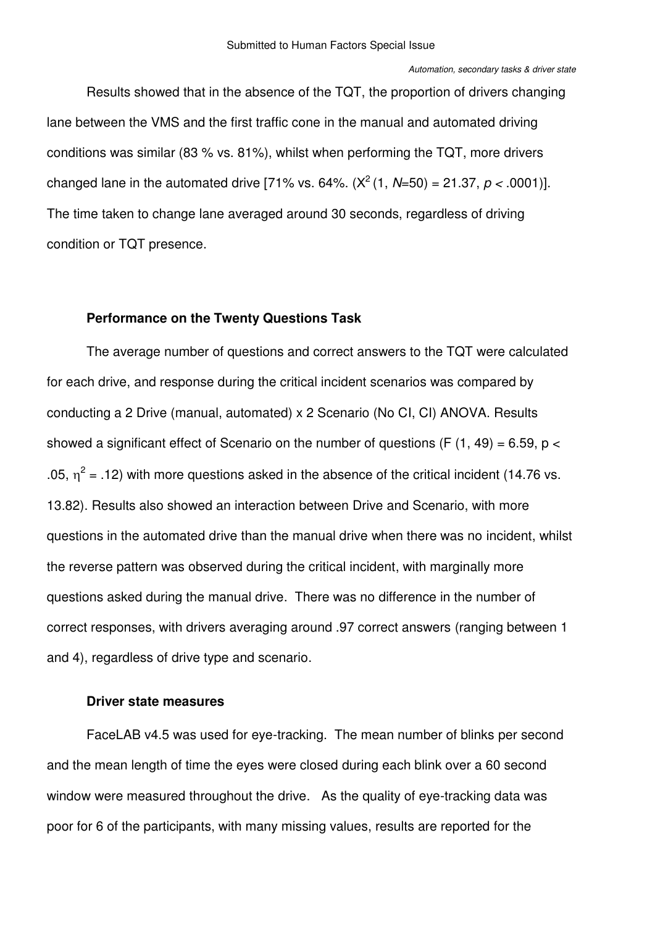Results showed that in the absence of the TQT, the proportion of drivers changing lane between the VMS and the first traffic cone in the manual and automated driving conditions was similar (83 % vs. 81%), whilst when performing the TQT, more drivers changed lane in the automated drive [71% vs. 64%.  $(X^2(1, N=50) = 21.37, p < .0001)$ ]. The time taken to change lane averaged around 30 seconds, regardless of driving condition or TQT presence.

### **Performance on the Twenty Questions Task**

The average number of questions and correct answers to the TQT were calculated for each drive, and response during the critical incident scenarios was compared by conducting a 2 Drive (manual, automated) x 2 Scenario (No CI, CI) ANOVA. Results showed a significant effect of Scenario on the number of questions (F  $(1, 49) = 6.59$ , p < .05,  $\eta^2$  = .12) with more questions asked in the absence of the critical incident (14.76 vs. 13.82). Results also showed an interaction between Drive and Scenario, with more questions in the automated drive than the manual drive when there was no incident, whilst the reverse pattern was observed during the critical incident, with marginally more questions asked during the manual drive. There was no difference in the number of correct responses, with drivers averaging around .97 correct answers (ranging between 1 and 4), regardless of drive type and scenario.

### <span id="page-13-0"></span>**Driver state measures**

FaceLAB v4.5 was used for eye-tracking. The mean number of blinks per second and the mean length of time the eyes were closed during each blink over a 60 second window were measured throughout the drive. As the quality of eye-tracking data was poor for 6 of the participants, with many missing values, results are reported for the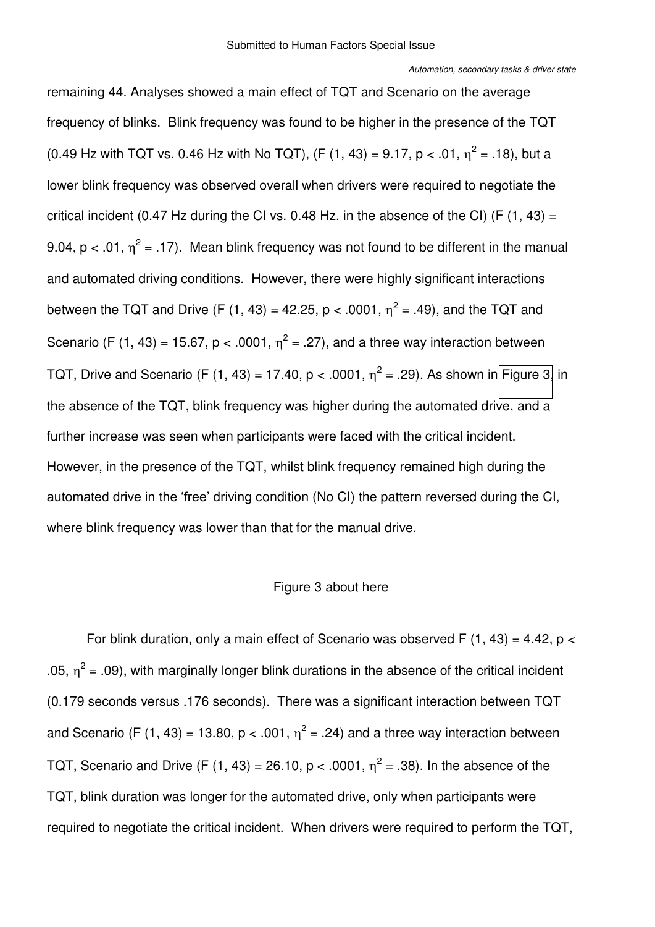<span id="page-14-0"></span>remaining 44. Analyses showed a main effect of TQT and Scenario on the average frequency of blinks. Blink frequency was found to be higher in the presence of the TQT (0.49 Hz with TQT vs. 0.46 Hz with No TQT), (F (1, 43) = 9.17, p < .01,  $\eta^2$  = .18), but a lower blink frequency was observed overall when drivers were required to negotiate the critical incident (0.47 Hz during the CI vs. 0.48 Hz. in the absence of the CI) (F  $(1, 43)$  = 9.04,  $p < 0.01$ ,  $\eta^2 = 0.17$ ). Mean blink frequency was not found to be different in the manual and automated driving conditions. However, there were highly significant interactions between the TQT and Drive (F (1, 43) = 42.25, p < .0001,  $\eta^2$  = .49), and the TQT and Scenario (F (1, 43) = 15.67, p < .0001,  $\eta^2$  = .27), and a three way interaction between TQT, Drive and Scenario (F (1, 43) = 17.40, p < .0001,  $\eta^2$  = .29). As shown in [Figure 3,](#page-13-0) in the absence of the TQT, blink frequency was higher during the automated drive, and a further increase was seen when participants were faced with the critical incident. However, in the presence of the TQT, whilst blink frequency remained high during the automated drive in the 'free' driving condition (No CI) the pattern reversed during the CI, where blink frequency was lower than that for the manual drive.

# Figure 3 about here

For blink duration, only a main effect of Scenario was observed F  $(1, 43) = 4.42$ , p < .05,  $\eta^2$  = .09), with marginally longer blink durations in the absence of the critical incident (0.179 seconds versus .176 seconds). There was a significant interaction between TQT and Scenario (F (1, 43) = 13.80, p < .001,  $\eta^2$  = .24) and a three way interaction between TQT, Scenario and Drive (F (1, 43) = 26.10, p < .0001,  $\eta^2$  = .38). In the absence of the TQT, blink duration was longer for the automated drive, only when participants were required to negotiate the critical incident. When drivers were required to perform the TQT,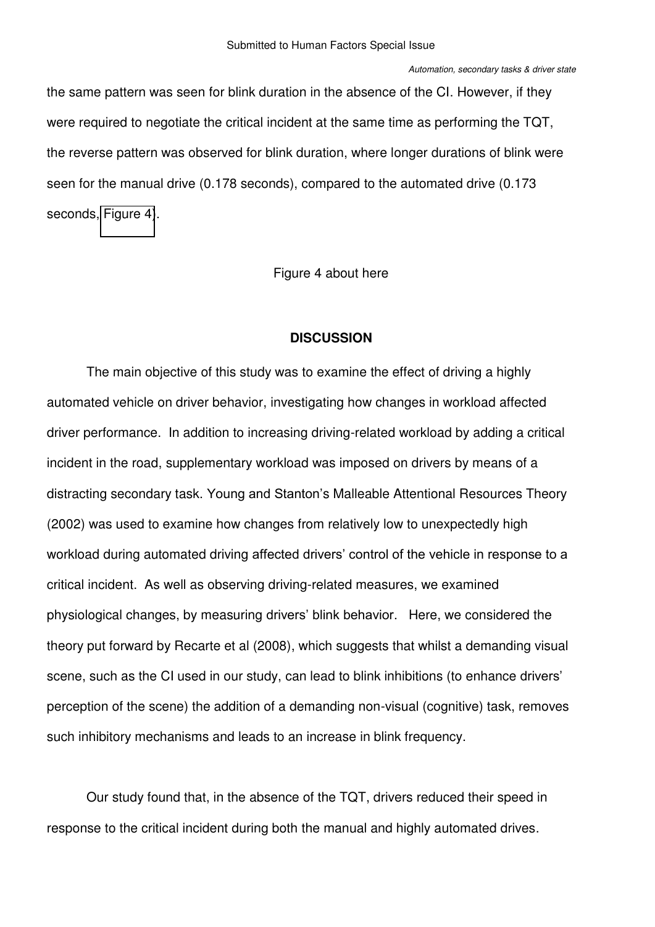the same pattern was seen for blink duration in the absence of the CI. However, if they were required to negotiate the critical incident at the same time as performing the TQT, the reverse pattern was observed for blink duration, where longer durations of blink were seen for the manual drive (0.178 seconds), compared to the automated drive (0.173 seconds, [Figure 4\)](#page-14-0).

Figure 4 about here

# **DISCUSSION**

The main objective of this study was to examine the effect of driving a highly automated vehicle on driver behavior, investigating how changes in workload affected driver performance. In addition to increasing driving-related workload by adding a critical incident in the road, supplementary workload was imposed on drivers by means of a distracting secondary task. Young and Stanton's Malleable Attentional Resources Theory (2002) was used to examine how changes from relatively low to unexpectedly high workload during automated driving affected drivers' control of the vehicle in response to a critical incident. As well as observing driving-related measures, we examined physiological changes, by measuring drivers' blink behavior. Here, we considered the theory put forward by Recarte et al (2008), which suggests that whilst a demanding visual scene, such as the CI used in our study, can lead to blink inhibitions (to enhance drivers' perception of the scene) the addition of a demanding non-visual (cognitive) task, removes such inhibitory mechanisms and leads to an increase in blink frequency.

Our study found that, in the absence of the TQT, drivers reduced their speed in response to the critical incident during both the manual and highly automated drives.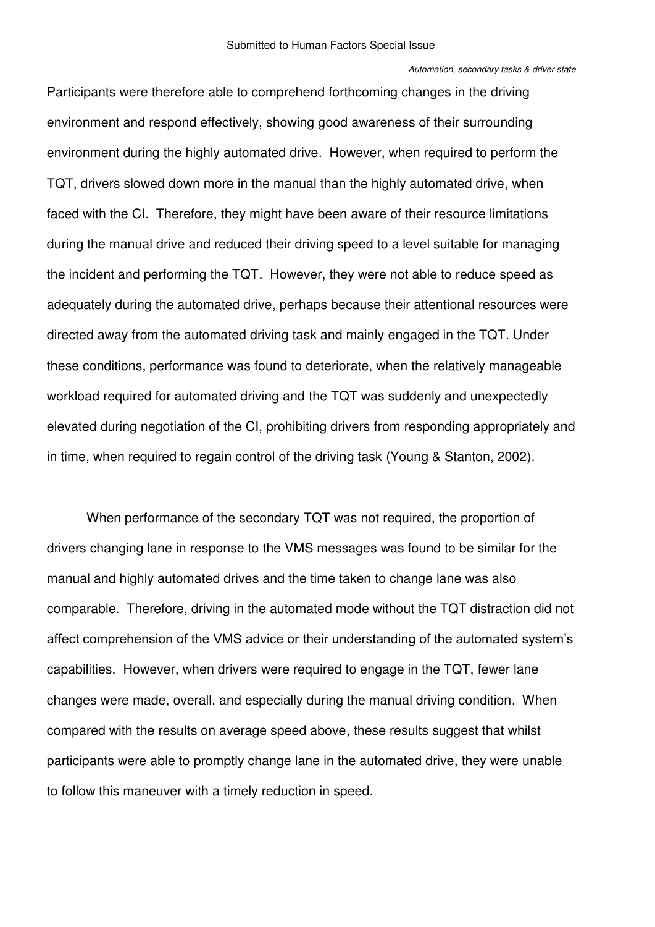#### *Automation, secondary tasks & driver state*

Participants were therefore able to comprehend forthcoming changes in the driving environment and respond effectively, showing good awareness of their surrounding environment during the highly automated drive. However, when required to perform the TQT, drivers slowed down more in the manual than the highly automated drive, when faced with the CI. Therefore, they might have been aware of their resource limitations during the manual drive and reduced their driving speed to a level suitable for managing the incident and performing the TQT. However, they were not able to reduce speed as adequately during the automated drive, perhaps because their attentional resources were directed away from the automated driving task and mainly engaged in the TQT. Under these conditions, performance was found to deteriorate, when the relatively manageable workload required for automated driving and the TQT was suddenly and unexpectedly elevated during negotiation of the CI, prohibiting drivers from responding appropriately and in time, when required to regain control of the driving task (Young & Stanton, 2002).

When performance of the secondary TQT was not required, the proportion of drivers changing lane in response to the VMS messages was found to be similar for the manual and highly automated drives and the time taken to change lane was also comparable. Therefore, driving in the automated mode without the TQT distraction did not affect comprehension of the VMS advice or their understanding of the automated system's capabilities. However, when drivers were required to engage in the TQT, fewer lane changes were made, overall, and especially during the manual driving condition. When compared with the results on average speed above, these results suggest that whilst participants were able to promptly change lane in the automated drive, they were unable to follow this maneuver with a timely reduction in speed.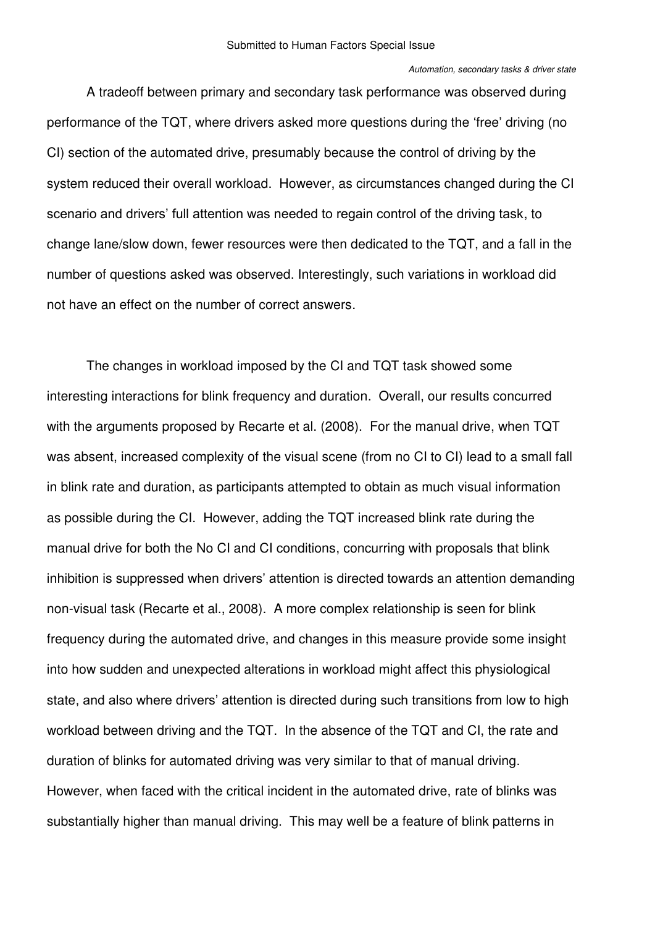#### *Automation, secondary tasks & driver state*

A tradeoff between primary and secondary task performance was observed during performance of the TQT, where drivers asked more questions during the 'free' driving (no CI) section of the automated drive, presumably because the control of driving by the system reduced their overall workload. However, as circumstances changed during the CI scenario and drivers' full attention was needed to regain control of the driving task, to change lane/slow down, fewer resources were then dedicated to the TQT, and a fall in the number of questions asked was observed. Interestingly, such variations in workload did not have an effect on the number of correct answers.

The changes in workload imposed by the CI and TQT task showed some interesting interactions for blink frequency and duration. Overall, our results concurred with the arguments proposed by Recarte et al. (2008). For the manual drive, when TQT was absent, increased complexity of the visual scene (from no CI to CI) lead to a small fall in blink rate and duration, as participants attempted to obtain as much visual information as possible during the CI. However, adding the TQT increased blink rate during the manual drive for both the No CI and CI conditions, concurring with proposals that blink inhibition is suppressed when drivers' attention is directed towards an attention demanding non-visual task (Recarte et al., 2008). A more complex relationship is seen for blink frequency during the automated drive, and changes in this measure provide some insight into how sudden and unexpected alterations in workload might affect this physiological state, and also where drivers' attention is directed during such transitions from low to high workload between driving and the TQT. In the absence of the TQT and CI, the rate and duration of blinks for automated driving was very similar to that of manual driving. However, when faced with the critical incident in the automated drive, rate of blinks was substantially higher than manual driving. This may well be a feature of blink patterns in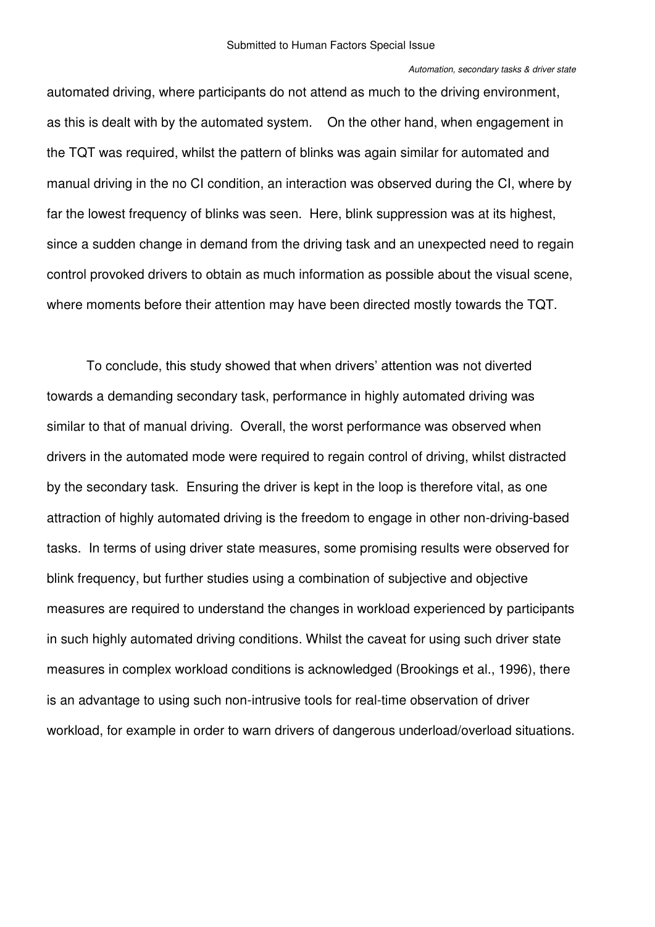automated driving, where participants do not attend as much to the driving environment, as this is dealt with by the automated system. On the other hand, when engagement in the TQT was required, whilst the pattern of blinks was again similar for automated and manual driving in the no CI condition, an interaction was observed during the CI, where by far the lowest frequency of blinks was seen. Here, blink suppression was at its highest, since a sudden change in demand from the driving task and an unexpected need to regain control provoked drivers to obtain as much information as possible about the visual scene, where moments before their attention may have been directed mostly towards the TQT.

To conclude, this study showed that when drivers' attention was not diverted towards a demanding secondary task, performance in highly automated driving was similar to that of manual driving. Overall, the worst performance was observed when drivers in the automated mode were required to regain control of driving, whilst distracted by the secondary task. Ensuring the driver is kept in the loop is therefore vital, as one attraction of highly automated driving is the freedom to engage in other non-driving-based tasks. In terms of using driver state measures, some promising results were observed for blink frequency, but further studies using a combination of subjective and objective measures are required to understand the changes in workload experienced by participants in such highly automated driving conditions. Whilst the caveat for using such driver state measures in complex workload conditions is acknowledged (Brookings et al., 1996), there is an advantage to using such non-intrusive tools for real-time observation of driver workload, for example in order to warn drivers of dangerous underload/overload situations.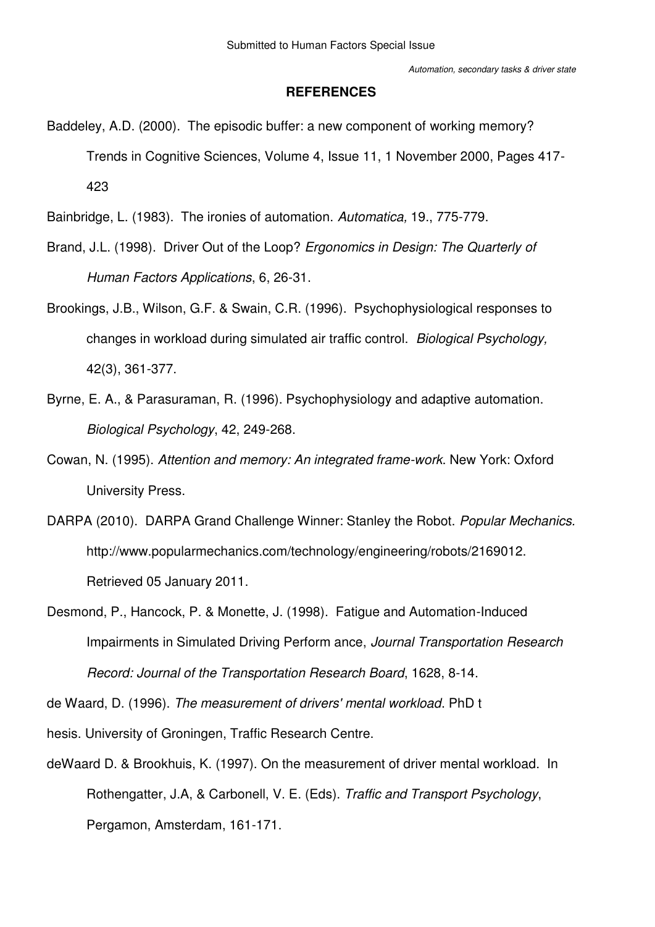#### **REFERENCES**

- Baddeley, A.D. (2000). The episodic buffer: a new component of working memory? Trends in Cognitive Sciences, Volume 4, Issue 11, 1 November 2000, Pages 417- 423
- Bainbridge, L. (1983). The ironies of automation. *Automatica,* 19., 775-779.
- Brand, J.L. (1998). Driver Out of the Loop? *Ergonomics in Design: The Quarterly of Human Factors Applications*, 6, 26-31.
- Brookings, J.B., Wilson, G.F. & Swain, C.R. (1996). Psychophysiological responses to changes in workload during simulated air traffic control. *Biological Psychology,* 42(3), 361-377.
- Byrne, E. A., & Parasuraman, R. (1996). Psychophysiology and adaptive automation. *Biological Psychology*, 42, 249-268.
- Cowan, N. (1995). *Attention and memory: An integrated frame-work*. New York: Oxford University Press.
- DARPA (2010). DARPA Grand Challenge Winner: Stanley the Robot. *Popular Mechanics.*  http://www.popularmechanics.com/technology/engineering/robots/2169012. Retrieved 05 January 2011.
- Desmond, P., Hancock, P. & Monette, J. (1998). Fatigue and Automation-Induced Impairments in Simulated Driving Perform ance, *Journal Transportation Research Record: Journal of the Transportation Research Board*, 1628, 8-14.

de Waard, D. (1996). *The measurement of drivers' mental workload*. PhD t

hesis. University of Groningen, Traffic Research Centre.

deWaard D. & Brookhuis, K. (1997). On the measurement of driver mental workload. In Rothengatter, J.A, & Carbonell, V. E. (Eds). *Traffic and Transport Psychology*, Pergamon, Amsterdam, 161-171.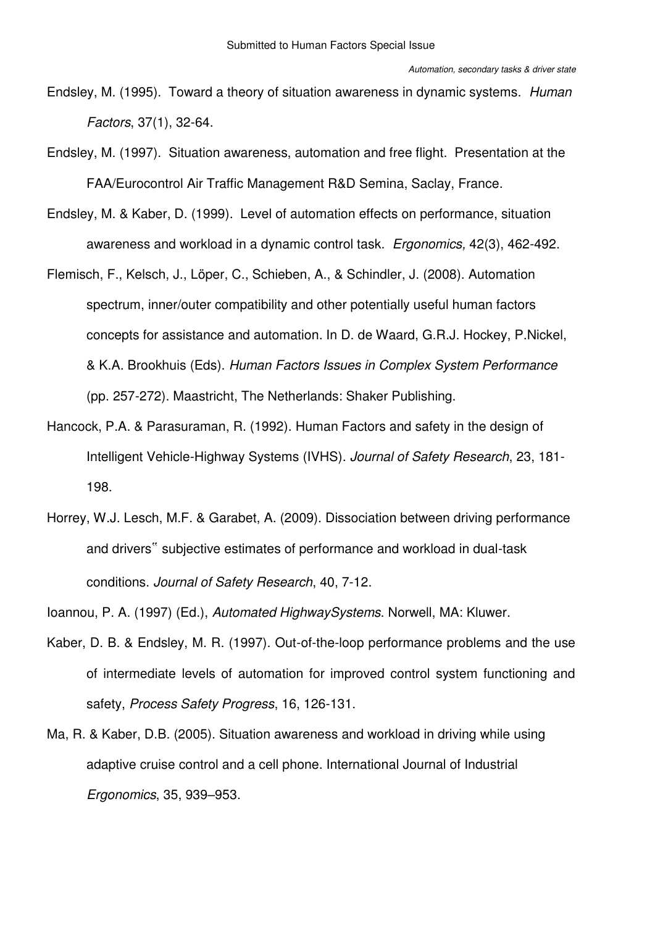- Endsley, M. (1995). Toward a theory of situation awareness in dynamic systems. *Human Factors*, 37(1), 32-64.
- Endsley, M. (1997). Situation awareness, automation and free flight. Presentation at the FAA/Eurocontrol Air Traffic Management R&D Semina, Saclay, France.
- Endsley, M. & Kaber, D. (1999). Level of automation effects on performance, situation awareness and workload in a dynamic control task. *Ergonomics,* 42(3), 462-492.
- Flemisch, F., Kelsch, J., Löper, C., Schieben, A., & Schindler, J. (2008). Automation spectrum, inner/outer compatibility and other potentially useful human factors concepts for assistance and automation. In D. de Waard, G.R.J. Hockey, P.Nickel, & K.A. Brookhuis (Eds). *Human Factors Issues in Complex System Performance* (pp. 257-272). Maastricht, The Netherlands: Shaker Publishing.
- Hancock, P.A. & Parasuraman, R. (1992). Human Factors and safety in the design of Intelligent Vehicle-Highway Systems (IVHS). *Journal of Safety Research*, 23, 181- 198.
- Horrey, W.J. Lesch, M.F. & Garabet, A. (2009). Dissociation between driving performance and drivers" subjective estimates of performance and workload in dual-task conditions. *Journal of Safety Research*, 40, 7-12.
- Ioannou, P. A. (1997) (Ed.), *Automated HighwaySystems*. Norwell, MA: Kluwer.
- Kaber, D. B. & Endsley, M. R. (1997). Out-of-the-loop performance problems and the use of intermediate levels of automation for improved control system functioning and safety, *Process Safety Progress*, 16, 126-131.
- Ma, R. & Kaber, D.B. (2005). Situation awareness and workload in driving while using adaptive cruise control and a cell phone. International Journal of Industrial *Ergonomics*, 35, 939–953.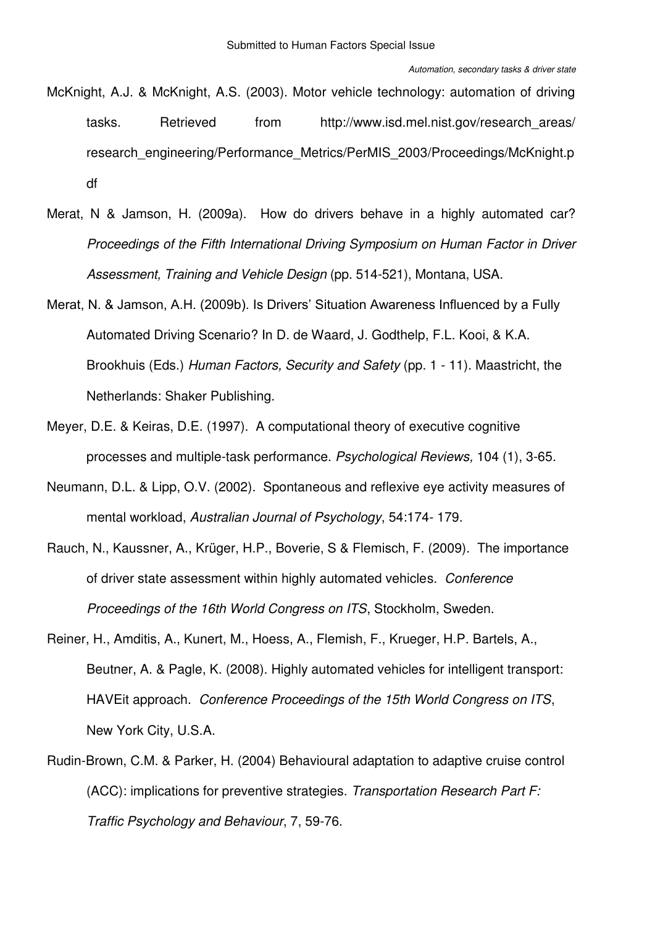- McKnight, A.J. & McKnight, A.S. (2003). Motor vehicle technology: automation of driving tasks. Retrieved from http://www.isd.mel.nist.gov/research\_areas/ research\_engineering/Performance\_Metrics/PerMIS\_2003/Proceedings/McKnight.p df
- Merat, N & Jamson, H. (2009a). How do drivers behave in a highly automated car? *Proceedings of the Fifth International Driving Symposium on Human Factor in Driver Assessment, Training and Vehicle Design* (pp. 514-521), Montana, USA.
- Merat, N. & Jamson, A.H. (2009b). Is Drivers' Situation Awareness Influenced by a Fully Automated Driving Scenario? In D. de Waard, J. Godthelp, F.L. Kooi, & K.A. Brookhuis (Eds.) *Human Factors, Security and Safety* (pp. 1 - 11). Maastricht, the Netherlands: Shaker Publishing.
- Meyer, D.E. & Keiras, D.E. (1997). A computational theory of executive cognitive processes and multiple-task performance. *Psychological Reviews,* 104 (1), 3-65.
- Neumann, D.L. & Lipp, O.V. (2002). Spontaneous and reflexive eye activity measures of mental workload, *Australian Journal of Psychology*, 54:174- 179.
- Rauch, N., Kaussner, A., Krüger, H.P., Boverie, S & Flemisch, F. (2009). The importance of driver state assessment within highly automated vehicles. *Conference Proceedings of the 16th World Congress on ITS*, Stockholm, Sweden.
- Reiner, H., Amditis, A., Kunert, M., Hoess, A., Flemish, F., Krueger, H.P. Bartels, A., Beutner, A. & Pagle, K. (2008). Highly automated vehicles for intelligent transport: HAVEit approach. *Conference Proceedings of the 15th World Congress on ITS*, New York City, U.S.A.
- Rudin-Brown, C.M. & Parker, H. (2004) Behavioural adaptation to adaptive cruise control (ACC): implications for preventive strategies. *Transportation Research Part F: Traffic Psychology and Behaviour*, 7, 59-76.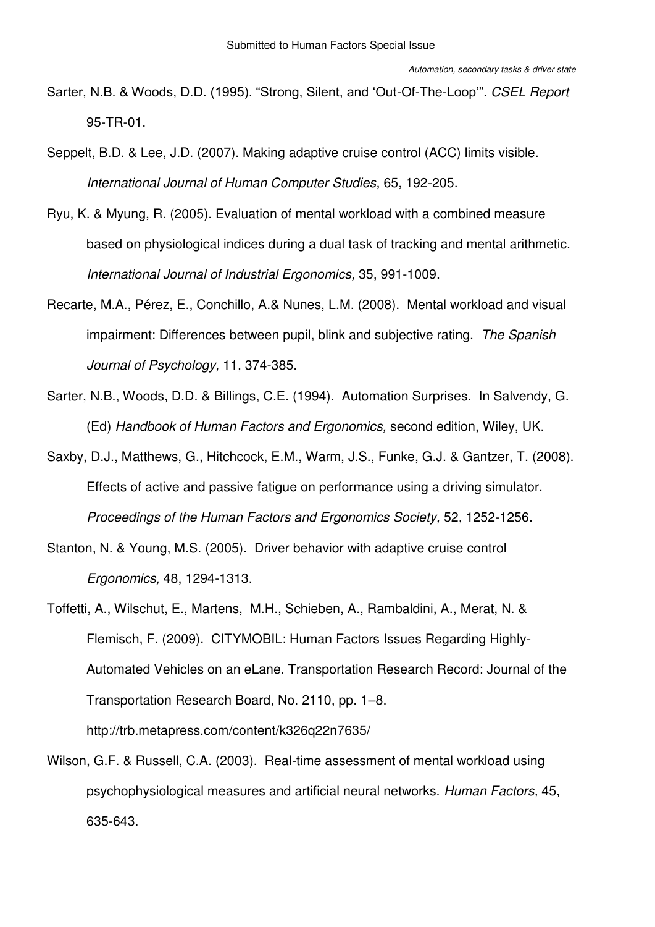- Sarter, N.B. & Woods, D.D. (1995). "Strong, Silent, and 'Out-Of-The-Loop'". *CSEL Report* 95-TR-01.
- Seppelt, B.D. & Lee, J.D. (2007). Making adaptive cruise control (ACC) limits visible. *International Journal of Human Computer Studies*, 65, 192-205.
- Ryu, K. & Myung, R. (2005). Evaluation of mental workload with a combined measure based on physiological indices during a dual task of tracking and mental arithmetic. *International Journal of Industrial Ergonomics,* 35, 991-1009.
- Recarte, M.A., Pérez, E., Conchillo, A.& Nunes, L.M. (2008). Mental workload and visual impairment: Differences between pupil, blink and subjective rating. *The Spanish Journal of Psychology,* 11, 374-385.
- Sarter, N.B., Woods, D.D. & Billings, C.E. (1994). Automation Surprises. In Salvendy, G. (Ed) *Handbook of Human Factors and Ergonomics,* second edition, Wiley, UK.
- Saxby, D.J., Matthews, G., Hitchcock, E.M., Warm, J.S., Funke, G.J. & Gantzer, T. (2008). Effects of active and passive fatigue on performance using a driving simulator. *Proceedings of the Human Factors and Ergonomics Society,* 52, 1252-1256.
- Stanton, N. & Young, M.S. (2005). Driver behavior with adaptive cruise control *Ergonomics,* 48, 1294-1313.
- Toffetti, A., Wilschut, E., Martens, M.H., Schieben, A., Rambaldini, A., Merat, N. & Flemisch, F. (2009). CITYMOBIL: Human Factors Issues Regarding Highly-Automated Vehicles on an eLane. Transportation Research Record: Journal of the Transportation Research Board, No. 2110, pp. 1–8. http://trb.metapress.com/content/k326q22n7635/
- Wilson, G.F. & Russell, C.A. (2003). Real-time assessment of mental workload using psychophysiological measures and artificial neural networks. *Human Factors,* 45, 635-643.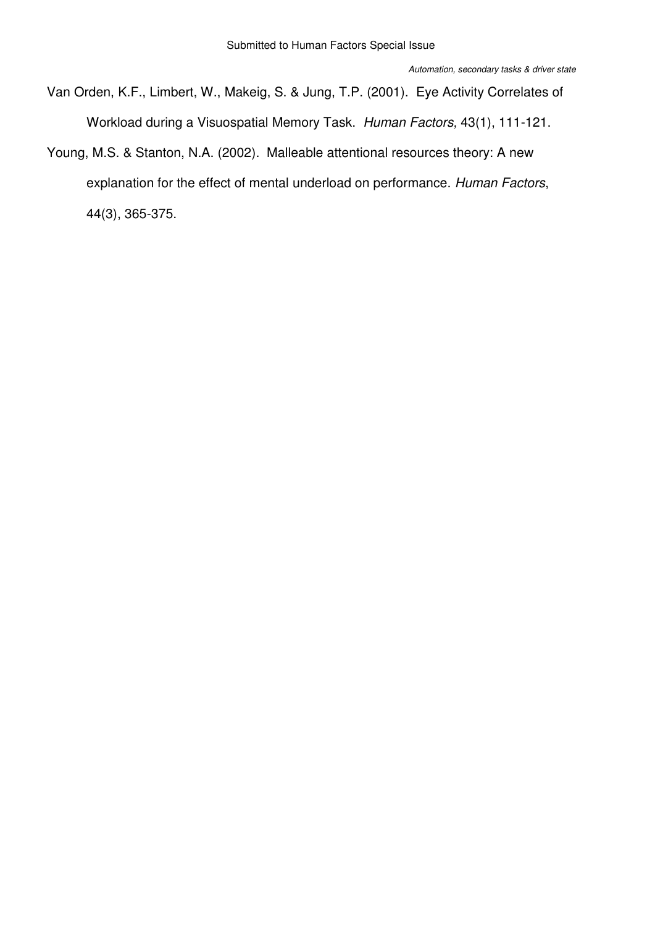Van Orden, K.F., Limbert, W., Makeig, S. & Jung, T.P. (2001). Eye Activity Correlates of Workload during a Visuospatial Memory Task. *Human Factors,* 43(1), 111-121.

Young, M.S. & Stanton, N.A. (2002). Malleable attentional resources theory: A new explanation for the effect of mental underload on performance. *Human Factors*, 44(3), 365-375.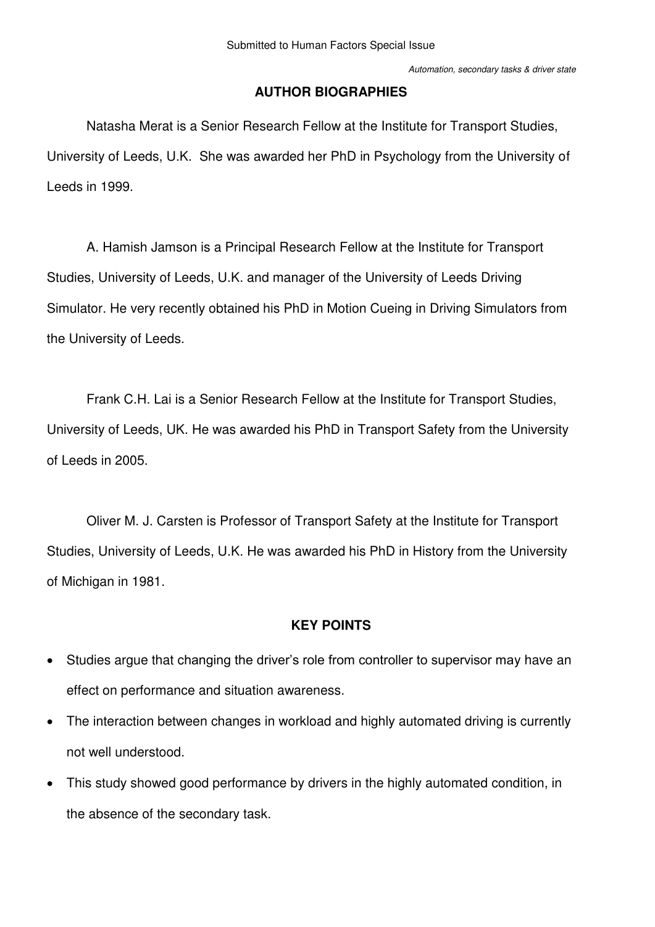# **AUTHOR BIOGRAPHIES**

Natasha Merat is a Senior Research Fellow at the Institute for Transport Studies, University of Leeds, U.K. She was awarded her PhD in Psychology from the University of Leeds in 1999.

A. Hamish Jamson is a Principal Research Fellow at the Institute for Transport Studies, University of Leeds, U.K. and manager of the University of Leeds Driving Simulator. He very recently obtained his PhD in Motion Cueing in Driving Simulators from the University of Leeds.

Frank C.H. Lai is a Senior Research Fellow at the Institute for Transport Studies, University of Leeds, UK. He was awarded his PhD in Transport Safety from the University of Leeds in 2005.

Oliver M. J. Carsten is Professor of Transport Safety at the Institute for Transport Studies, University of Leeds, U.K. He was awarded his PhD in History from the University of Michigan in 1981.

# **KEY POINTS**

- Studies argue that changing the driver's role from controller to supervisor may have an effect on performance and situation awareness.
- The interaction between changes in workload and highly automated driving is currently not well understood.
- This study showed good performance by drivers in the highly automated condition, in the absence of the secondary task.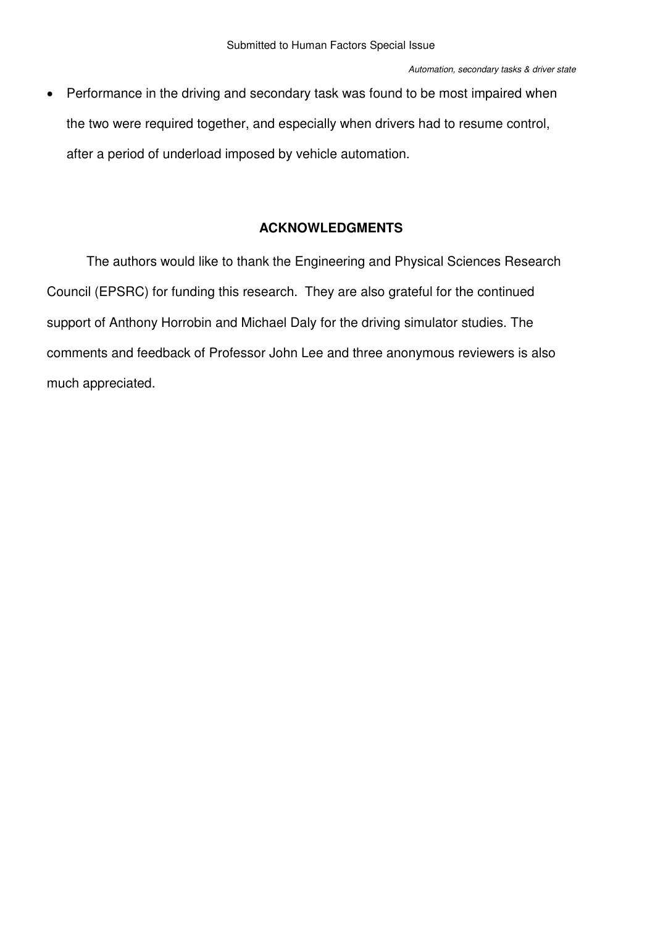• Performance in the driving and secondary task was found to be most impaired when the two were required together, and especially when drivers had to resume control, after a period of underload imposed by vehicle automation.

# **ACKNOWLEDGMENTS**

The authors would like to thank the Engineering and Physical Sciences Research Council (EPSRC) for funding this research. They are also grateful for the continued support of Anthony Horrobin and Michael Daly for the driving simulator studies. The comments and feedback of Professor John Lee and three anonymous reviewers is also much appreciated.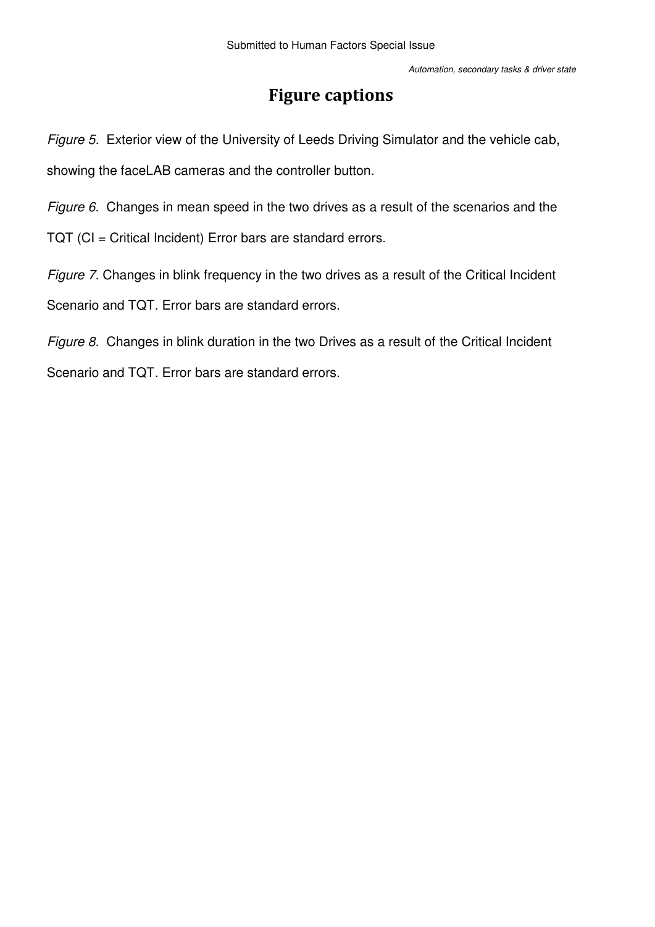# **Figure captions**

*Figure 5.* Exterior view of the University of Leeds Driving Simulator and the vehicle cab, showing the faceLAB cameras and the controller button.

*Figure 6*. Changes in mean speed in the two drives as a result of the scenarios and the

TQT (CI = Critical Incident) Error bars are standard errors.

*Figure 7*. Changes in blink frequency in the two drives as a result of the Critical Incident Scenario and TQT. Error bars are standard errors.

*Figure 8*. Changes in blink duration in the two Drives as a result of the Critical Incident Scenario and TQT. Error bars are standard errors.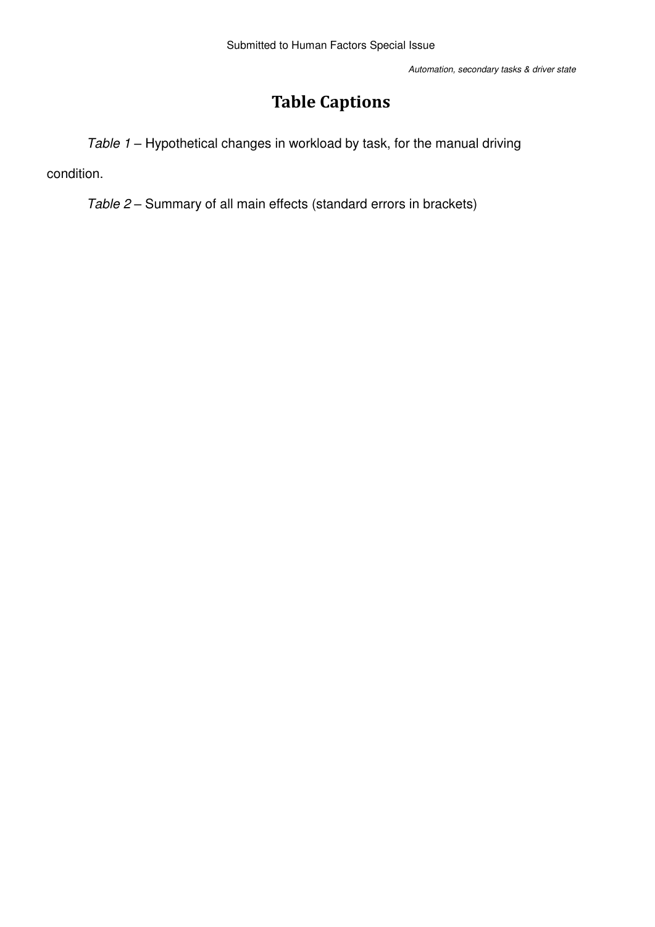# **Table Captions**

*Table 1* – Hypothetical changes in workload by task, for the manual driving

condition.

*Table 2* – Summary of all main effects (standard errors in brackets)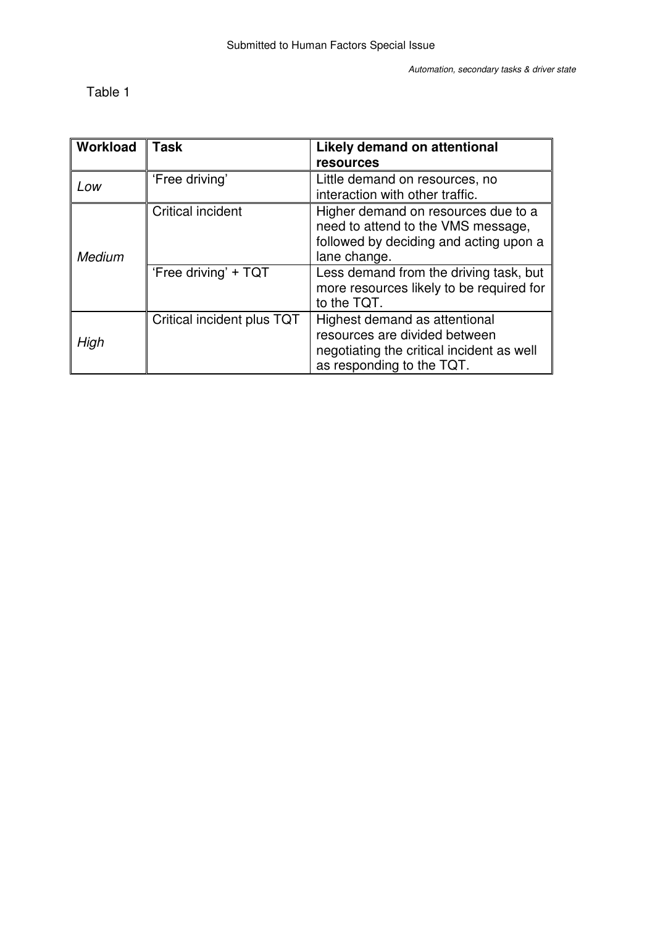Table 1

| Workload      | <b>Task</b>                | Likely demand on attentional<br><b>resources</b>                                                                                         |  |  |
|---------------|----------------------------|------------------------------------------------------------------------------------------------------------------------------------------|--|--|
| Low           | 'Free driving'             | Little demand on resources, no<br>interaction with other traffic.                                                                        |  |  |
| <b>Medium</b> | <b>Critical incident</b>   | Higher demand on resources due to a<br>need to attend to the VMS message,<br>followed by deciding and acting upon a<br>lane change.      |  |  |
|               | 'Free driving' + TQT       | Less demand from the driving task, but<br>more resources likely to be required for<br>to the TQT.                                        |  |  |
| High          | Critical incident plus TQT | Highest demand as attentional<br>resources are divided between<br>negotiating the critical incident as well<br>as responding to the TQT. |  |  |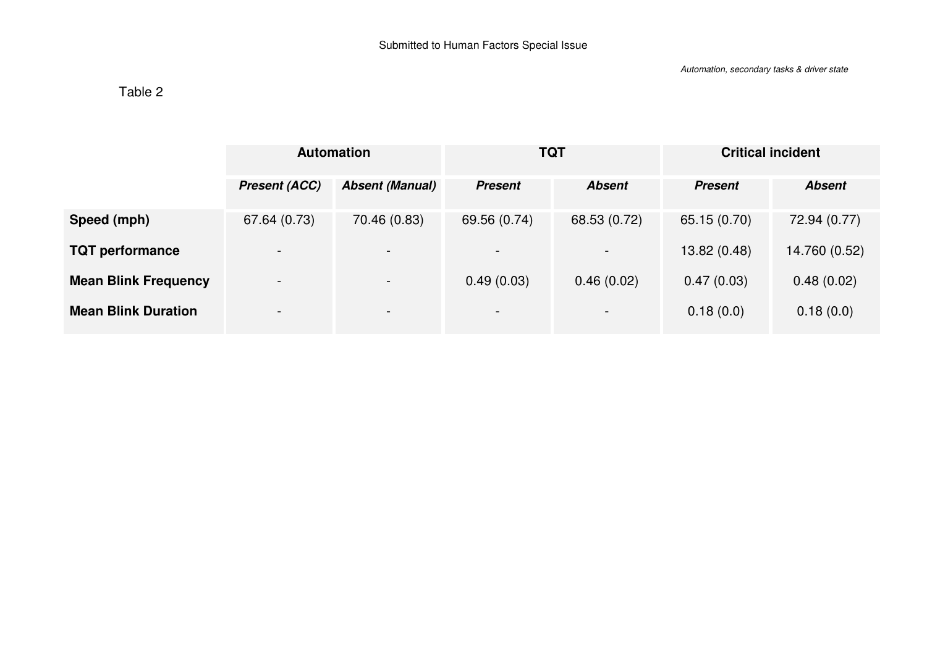# Table 2

|                             | <b>Automation</b>        |                          | <b>TQT</b>               |               | <b>Critical incident</b> |               |
|-----------------------------|--------------------------|--------------------------|--------------------------|---------------|--------------------------|---------------|
|                             | <b>Present (ACC)</b>     | <b>Absent (Manual)</b>   | <b>Present</b>           | <b>Absent</b> | <b>Present</b>           | <b>Absent</b> |
| Speed (mph)                 | 67.64 (0.73)             | 70.46 (0.83)             | 69.56 (0.74)             | 68.53 (0.72)  | 65.15 (0.70)             | 72.94 (0.77)  |
| <b>TQT</b> performance      | $\overline{\phantom{0}}$ | $\overline{\phantom{0}}$ |                          |               | 13.82 (0.48)             | 14.760 (0.52) |
| <b>Mean Blink Frequency</b> | $\overline{\phantom{0}}$ | $\sim$                   | 0.49(0.03)               | 0.46(0.02)    | 0.47(0.03)               | 0.48(0.02)    |
| <b>Mean Blink Duration</b>  | $\overline{\phantom{a}}$ | $\sim$                   | $\overline{\phantom{0}}$ | $\,$          | 0.18(0.0)                | 0.18(0.0)     |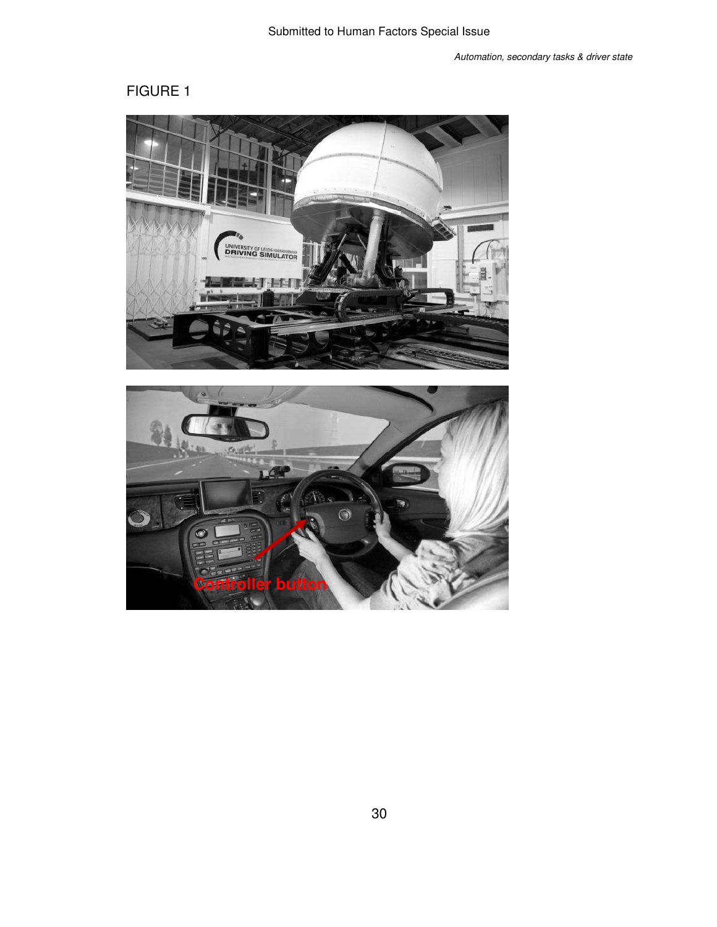

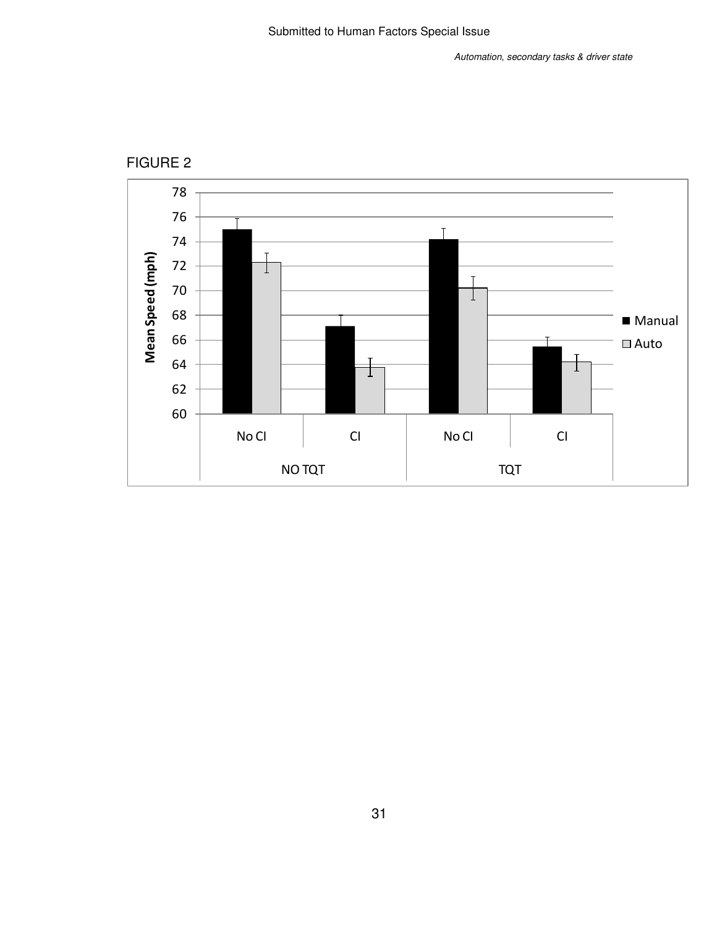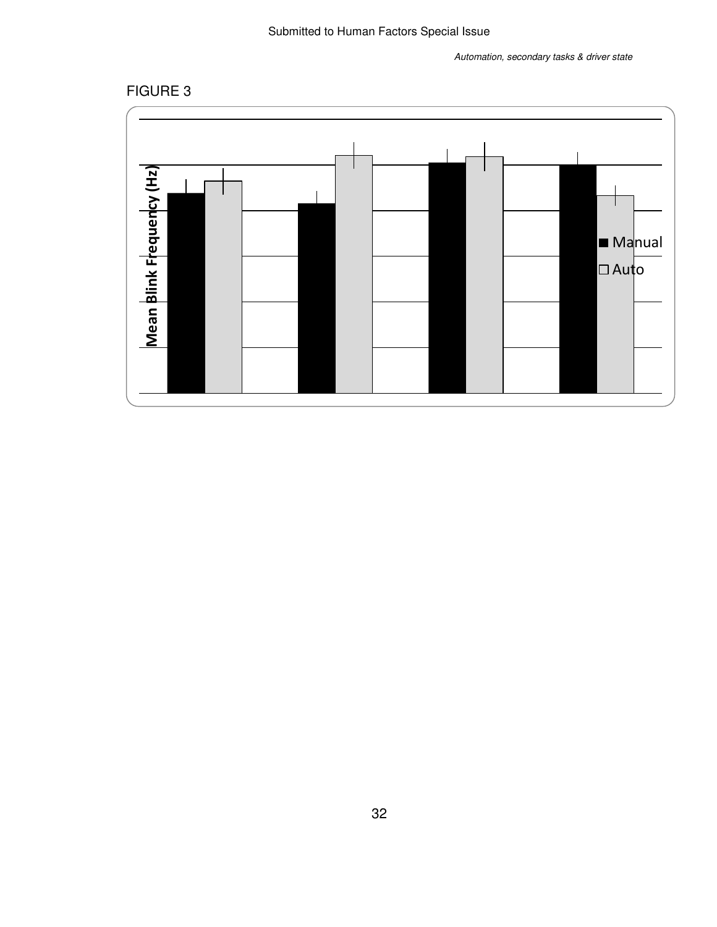# Submitted to Human Factors Special Issue